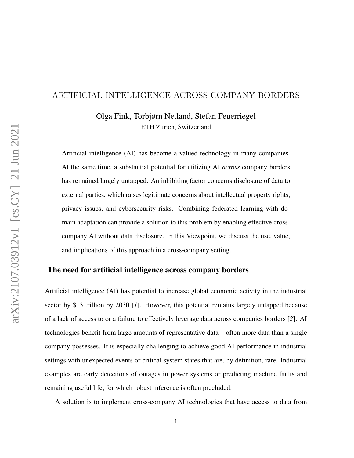## ARTIFICIAL INTELLIGENCE ACROSS COMPANY BORDERS

Olga Fink, Torbjørn Netland, Stefan Feuerriegel ETH Zurich, Switzerland

Artificial intelligence (AI) has become a valued technology in many companies. At the same time, a substantial potential for utilizing AI *across* company borders has remained largely untapped. An inhibiting factor concerns disclosure of data to external parties, which raises legitimate concerns about intellectual property rights, privacy issues, and cybersecurity risks. Combining federated learning with domain adaptation can provide a solution to this problem by enabling effective crosscompany AI without data disclosure. In this Viewpoint, we discuss the use, value, and implications of this approach in a cross-company setting.

### The need for artificial intelligence across company borders

Artificial intelligence (AI) has potential to increase global economic activity in the industrial sector by \$13 trillion by 2030 [*1*]. However, this potential remains largely untapped because of a lack of access to or a failure to effectively leverage data across companies borders [*2*]. AI technologies benefit from large amounts of representative data – often more data than a single company possesses. It is especially challenging to achieve good AI performance in industrial settings with unexpected events or critical system states that are, by definition, rare. Industrial examples are early detections of outages in power systems or predicting machine faults and remaining useful life, for which robust inference is often precluded.

A solution is to implement cross-company AI technologies that have access to data from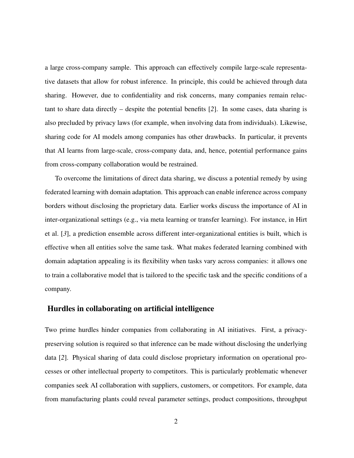a large cross-company sample. This approach can effectively compile large-scale representative datasets that allow for robust inference. In principle, this could be achieved through data sharing. However, due to confidentiality and risk concerns, many companies remain reluctant to share data directly – despite the potential benefits [*2*]. In some cases, data sharing is also precluded by privacy laws (for example, when involving data from individuals). Likewise, sharing code for AI models among companies has other drawbacks. In particular, it prevents that AI learns from large-scale, cross-company data, and, hence, potential performance gains from cross-company collaboration would be restrained.

To overcome the limitations of direct data sharing, we discuss a potential remedy by using federated learning with domain adaptation. This approach can enable inference across company borders without disclosing the proprietary data. Earlier works discuss the importance of AI in inter-organizational settings (e.g., via meta learning or transfer learning). For instance, in Hirt et al. [*3*], a prediction ensemble across different inter-organizational entities is built, which is effective when all entities solve the same task. What makes federated learning combined with domain adaptation appealing is its flexibility when tasks vary across companies: it allows one to train a collaborative model that is tailored to the specific task and the specific conditions of a company.

#### Hurdles in collaborating on artificial intelligence

Two prime hurdles hinder companies from collaborating in AI initiatives. First, a privacypreserving solution is required so that inference can be made without disclosing the underlying data [*2*]. Physical sharing of data could disclose proprietary information on operational processes or other intellectual property to competitors. This is particularly problematic whenever companies seek AI collaboration with suppliers, customers, or competitors. For example, data from manufacturing plants could reveal parameter settings, product compositions, throughput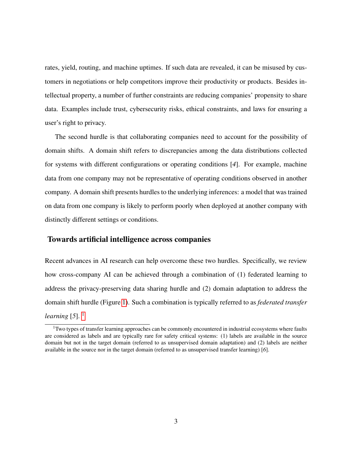rates, yield, routing, and machine uptimes. If such data are revealed, it can be misused by customers in negotiations or help competitors improve their productivity or products. Besides intellectual property, a number of further constraints are reducing companies' propensity to share data. Examples include trust, cybersecurity risks, ethical constraints, and laws for ensuring a user's right to privacy.

The second hurdle is that collaborating companies need to account for the possibility of domain shifts. A domain shift refers to discrepancies among the data distributions collected for systems with different configurations or operating conditions [*4*]. For example, machine data from one company may not be representative of operating conditions observed in another company. A domain shift presents hurdles to the underlying inferences: a model that was trained on data from one company is likely to perform poorly when deployed at another company with distinctly different settings or conditions.

#### Towards artificial intelligence across companies

Recent advances in AI research can help overcome these two hurdles. Specifically, we review how cross-company AI can be achieved through a combination of (1) federated learning to address the privacy-preserving data sharing hurdle and (2) domain adaptation to address the domain shift hurdle (Figure [1\)](#page-3-0). Such a combination is typically referred to as *federated transfer learning* [5].  $\frac{1}{2}$  $\frac{1}{2}$  $\frac{1}{2}$ 

<span id="page-2-0"></span> $1$ Two types of transfer learning approaches can be commonly encountered in industrial ecosystems where faults are considered as labels and are typically rare for safety critical systems: (1) labels are available in the source domain but not in the target domain (referred to as unsupervised domain adaptation) and (2) labels are neither available in the source nor in the target domain (referred to as unsupervised transfer learning) [*6*].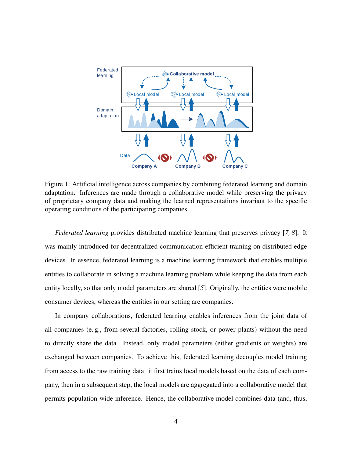

<span id="page-3-0"></span>Figure 1: Artificial intelligence across companies by combining federated learning and domain adaptation. Inferences are made through a collaborative model while preserving the privacy of proprietary company data and making the learned representations invariant to the specific operating conditions of the participating companies.

*Federated learning* provides distributed machine learning that preserves privacy [*7, 8*]. It was mainly introduced for decentralized communication-efficient training on distributed edge devices. In essence, federated learning is a machine learning framework that enables multiple entities to collaborate in solving a machine learning problem while keeping the data from each entity locally, so that only model parameters are shared [*5*]. Originally, the entities were mobile consumer devices, whereas the entities in our setting are companies.

In company collaborations, federated learning enables inferences from the joint data of all companies (e. g., from several factories, rolling stock, or power plants) without the need to directly share the data. Instead, only model parameters (either gradients or weights) are exchanged between companies. To achieve this, federated learning decouples model training from access to the raw training data: it first trains local models based on the data of each company, then in a subsequent step, the local models are aggregated into a collaborative model that permits population-wide inference. Hence, the collaborative model combines data (and, thus,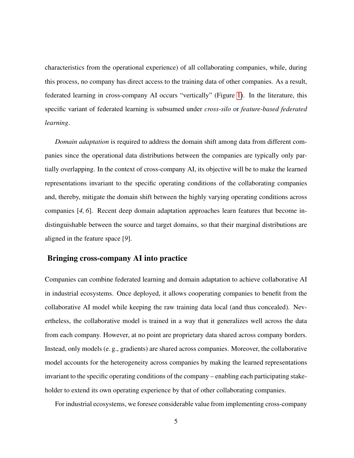characteristics from the operational experience) of all collaborating companies, while, during this process, no company has direct access to the training data of other companies. As a result, federated learning in cross-company AI occurs "vertically" (Figure [1\)](#page-3-0). In the literature, this specific variant of federated learning is subsumed under *cross-silo* or *feature-based federated learning*.

*Domain adaptation* is required to address the domain shift among data from different companies since the operational data distributions between the companies are typically only partially overlapping. In the context of cross-company AI, its objective will be to make the learned representations invariant to the specific operating conditions of the collaborating companies and, thereby, mitigate the domain shift between the highly varying operating conditions across companies [*4, 6*]. Recent deep domain adaptation approaches learn features that become indistinguishable between the source and target domains, so that their marginal distributions are aligned in the feature space [*9*].

#### Bringing cross-company AI into practice

Companies can combine federated learning and domain adaptation to achieve collaborative AI in industrial ecosystems. Once deployed, it allows cooperating companies to benefit from the collaborative AI model while keeping the raw training data local (and thus concealed). Nevertheless, the collaborative model is trained in a way that it generalizes well across the data from each company. However, at no point are proprietary data shared across company borders. Instead, only models (e. g., gradients) are shared across companies. Moreover, the collaborative model accounts for the heterogeneity across companies by making the learned representations invariant to the specific operating conditions of the company – enabling each participating stakeholder to extend its own operating experience by that of other collaborating companies.

For industrial ecosystems, we foresee considerable value from implementing cross-company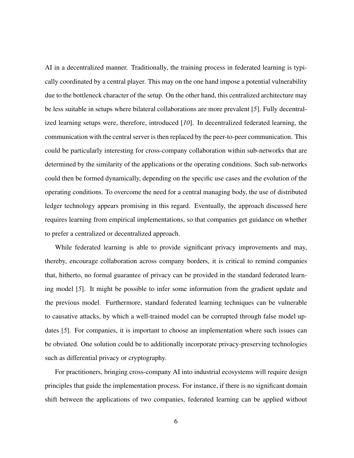AI in a decentralized manner. Traditionally, the training process in federated learning is typically coordinated by a central player. This may on the one hand impose a potential vulnerability due to the bottleneck character of the setup. On the other hand, this centralized architecture may be less suitable in setups where bilateral collaborations are more prevalent [*5*]. Fully decentralized learning setups were, therefore, introduced [*10*]. In decentralized federated learning, the communication with the central server is then replaced by the peer-to-peer communication. This could be particularly interesting for cross-company collaboration within sub-networks that are determined by the similarity of the applications or the operating conditions. Such sub-networks could then be formed dynamically, depending on the specific use cases and the evolution of the operating conditions. To overcome the need for a central managing body, the use of distributed ledger technology appears promising in this regard. Eventually, the approach discussed here requires learning from empirical implementations, so that companies get guidance on whether to prefer a centralized or decentralized approach.

While federated learning is able to provide significant privacy improvements and may, thereby, encourage collaboration across company borders, it is critical to remind companies that, hitherto, no formal guarantee of privacy can be provided in the standard federated learning model [*5*]. It might be possible to infer some information from the gradient update and the previous model. Furthermore, standard federated learning techniques can be vulnerable to causative attacks, by which a well-trained model can be corrupted through false model updates [*5*]. For companies, it is important to choose an implementation where such issues can be obviated. One solution could be to additionally incorporate privacy-preserving technologies such as differential privacy or cryptography.

For practitioners, bringing cross-company AI into industrial ecosystems will require design principles that guide the implementation process. For instance, if there is no significant domain shift between the applications of two companies, federated learning can be applied without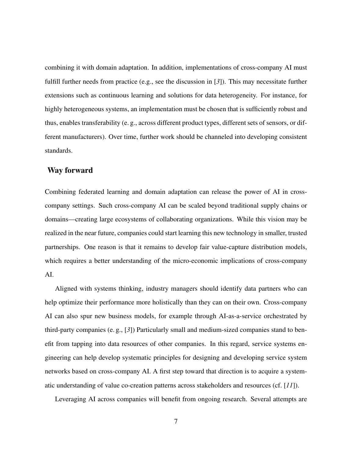combining it with domain adaptation. In addition, implementations of cross-company AI must fulfill further needs from practice (e.g., see the discussion in [*3*]). This may necessitate further extensions such as continuous learning and solutions for data heterogeneity. For instance, for highly heterogeneous systems, an implementation must be chosen that is sufficiently robust and thus, enables transferability (e. g., across different product types, different sets of sensors, or different manufacturers). Over time, further work should be channeled into developing consistent standards.

#### Way forward

Combining federated learning and domain adaptation can release the power of AI in crosscompany settings. Such cross-company AI can be scaled beyond traditional supply chains or domains—creating large ecosystems of collaborating organizations. While this vision may be realized in the near future, companies could start learning this new technology in smaller, trusted partnerships. One reason is that it remains to develop fair value-capture distribution models, which requires a better understanding of the micro-economic implications of cross-company AI.

Aligned with systems thinking, industry managers should identify data partners who can help optimize their performance more holistically than they can on their own. Cross-company AI can also spur new business models, for example through AI-as-a-service orchestrated by third-party companies (e. g., [*3*]) Particularly small and medium-sized companies stand to benefit from tapping into data resources of other companies. In this regard, service systems engineering can help develop systematic principles for designing and developing service system networks based on cross-company AI. A first step toward that direction is to acquire a systematic understanding of value co-creation patterns across stakeholders and resources (cf. [*11*]).

Leveraging AI across companies will benefit from ongoing research. Several attempts are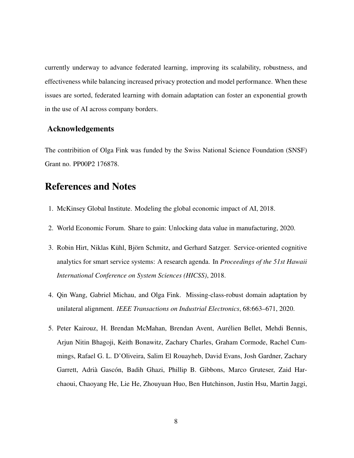currently underway to advance federated learning, improving its scalability, robustness, and effectiveness while balancing increased privacy protection and model performance. When these issues are sorted, federated learning with domain adaptation can foster an exponential growth in the use of AI across company borders.

## Acknowledgements

The contribition of Olga Fink was funded by the Swiss National Science Foundation (SNSF) Grant no. PP00P2 176878.

# References and Notes

- 1. McKinsey Global Institute. Modeling the global economic impact of AI, 2018.
- 2. World Economic Forum. Share to gain: Unlocking data value in manufacturing, 2020.
- 3. Robin Hirt, Niklas Kühl, Björn Schmitz, and Gerhard Satzger. Service-oriented cognitive analytics for smart service systems: A research agenda. In *Proceedings of the 51st Hawaii International Conference on System Sciences (HICSS)*, 2018.
- 4. Qin Wang, Gabriel Michau, and Olga Fink. Missing-class-robust domain adaptation by unilateral alignment. *IEEE Transactions on Industrial Electronics*, 68:663–671, 2020.
- 5. Peter Kairouz, H. Brendan McMahan, Brendan Avent, Aurelien Bellet, Mehdi Bennis, ´ Arjun Nitin Bhagoji, Keith Bonawitz, Zachary Charles, Graham Cormode, Rachel Cummings, Rafael G. L. D'Oliveira, Salim El Rouayheb, David Evans, Josh Gardner, Zachary Garrett, Adrià Gascón, Badih Ghazi, Phillip B. Gibbons, Marco Gruteser, Zaid Harchaoui, Chaoyang He, Lie He, Zhouyuan Huo, Ben Hutchinson, Justin Hsu, Martin Jaggi,